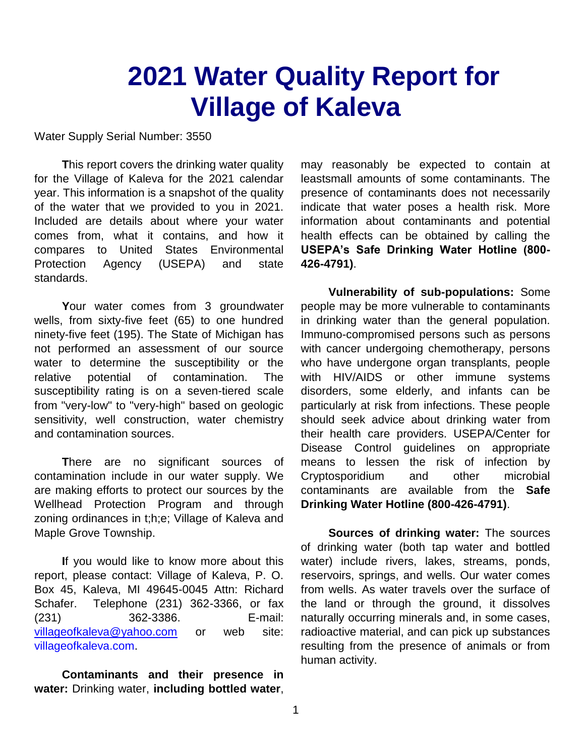## **2021 Water Quality Report for Village of Kaleva**

Water Supply Serial Number: 3550

**T**his report covers the drinking water quality for the Village of Kaleva for the 2021 calendar year. This information is a snapshot of the quality of the water that we provided to you in 2021. Included are details about where your water comes from, what it contains, and how it compares to United States Environmental Protection Agency (USEPA) and state standards.

**Y**our water comes from 3 groundwater wells, from sixty-five feet (65) to one hundred ninety-five feet (195). The State of Michigan has not performed an assessment of our source water to determine the susceptibility or the relative potential of contamination. The susceptibility rating is on a seven-tiered scale from "very-low" to "very-high" based on geologic sensitivity, well construction, water chemistry and contamination sources.

**T**here are no significant sources of contamination include in our water supply. We are making efforts to protect our sources by the Wellhead Protection Program and through zoning ordinances in t;h;e; Village of Kaleva and Maple Grove Township.

**I**f you would like to know more about this report, please contact: Village of Kaleva, P. O. Box 45, Kaleva, MI 49645-0045 Attn: Richard Schafer. Telephone (231) 362-3366, or fax (231) 362-3386. E-mail: [villageofkaleva@yahoo.com](mailto:villageofkaleva@yahoo.com) or web site: villageofkaleva.com.

**Contaminants and their presence in water:** Drinking water, **including bottled water**,

may reasonably be expected to contain at leastsmall amounts of some contaminants. The presence of contaminants does not necessarily indicate that water poses a health risk. More information about contaminants and potential health effects can be obtained by calling the **USEPA's Safe Drinking Water Hotline (800- 426-4791)**.

**Vulnerability of sub-populations:** Some people may be more vulnerable to contaminants in drinking water than the general population. Immuno-compromised persons such as persons with cancer undergoing chemotherapy, persons who have undergone organ transplants, people with HIV/AIDS or other immune systems disorders, some elderly, and infants can be particularly at risk from infections. These people should seek advice about drinking water from their health care providers. USEPA/Center for Disease Control guidelines on appropriate means to lessen the risk of infection by Cryptosporidium and other microbial contaminants are available from the **Safe Drinking Water Hotline (800-426-4791)**.

**Sources of drinking water:** The sources of drinking water (both tap water and bottled water) include rivers, lakes, streams, ponds, reservoirs, springs, and wells. Our water comes from wells. As water travels over the surface of the land or through the ground, it dissolves naturally occurring minerals and, in some cases, radioactive material, and can pick up substances resulting from the presence of animals or from human activity.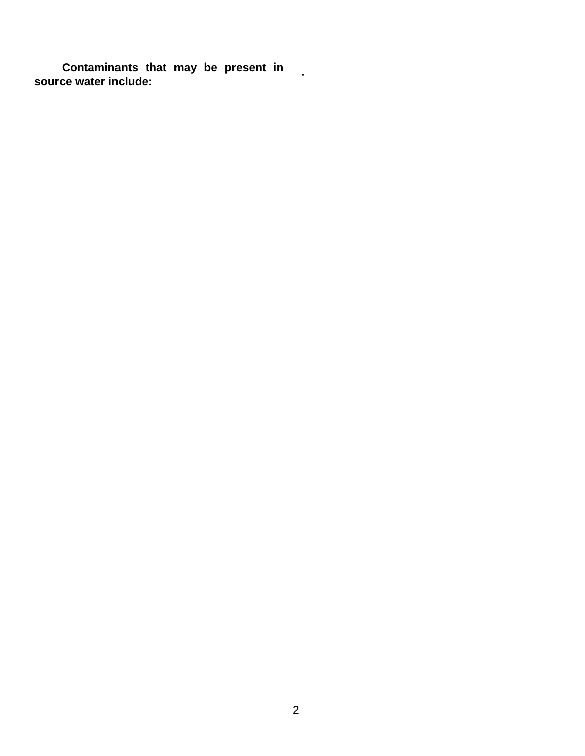**Contaminants that may be present in source water include: source water include:**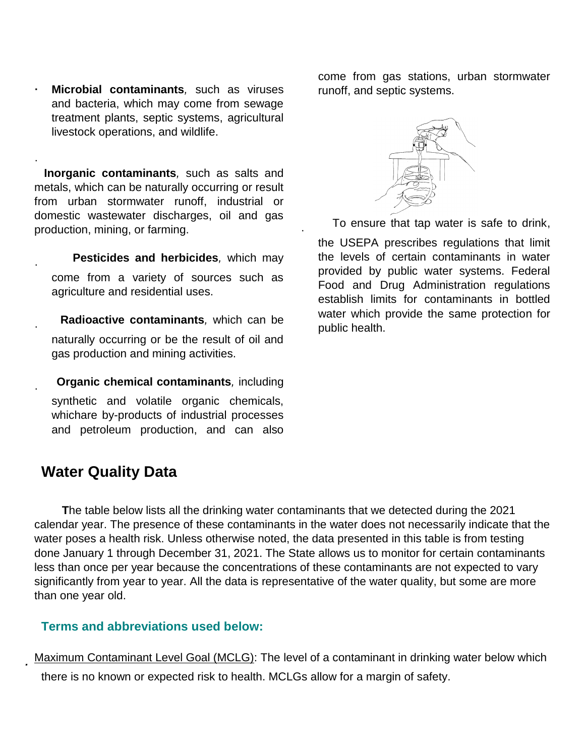**· Microbial contaminants***,* such as viruses and bacteria, which may come from sewage treatment plants, septic systems, agricultural livestock operations, and wildlife.

·  **Inorganic contaminants***,* such as salts and metals, which can be naturally occurring or result from urban stormwater runoff, industrial or domestic wastewater discharges, oil and gas production, mining, or farming.

 **Pesticides and herbicides***,* which may come from a variety of sources such as agriculture and residential uses.

 **Radioactive contaminants***,* which can be naturally occurring or be the result of oil and gas production and mining activities.

 **Organic chemical contaminants***,* including synthetic and volatile organic chemicals, whichare by-products of industrial processes and petroleum production, and can also

### **Water Quality Data**

·

·

·

*·*

come from gas stations, urban stormwater runoff, and septic systems.



To ensure that tap water is safe to drink,

the USEPA prescribes regulations that limit the levels of certain contaminants in water provided by public water systems. Federal Food and Drug Administration regulations establish limits for contaminants in bottled water which provide the same protection for public health.

**T**he table below lists all the drinking water contaminants that we detected during the 2021 calendar year. The presence of these contaminants in the water does not necessarily indicate that the water poses a health risk. Unless otherwise noted, the data presented in this table is from testing done January 1 through December 31, 2021. The State allows us to monitor for certain contaminants less than once per year because the concentrations of these contaminants are not expected to vary significantly from year to year. All the data is representative of the water quality, but some are more than one year old.

·

### **Terms and abbreviations used below:**

Maximum Contaminant Level Goal (MCLG): The level of a contaminant in drinking water below which there is no known or expected risk to health. MCLGs allow for a margin of safety.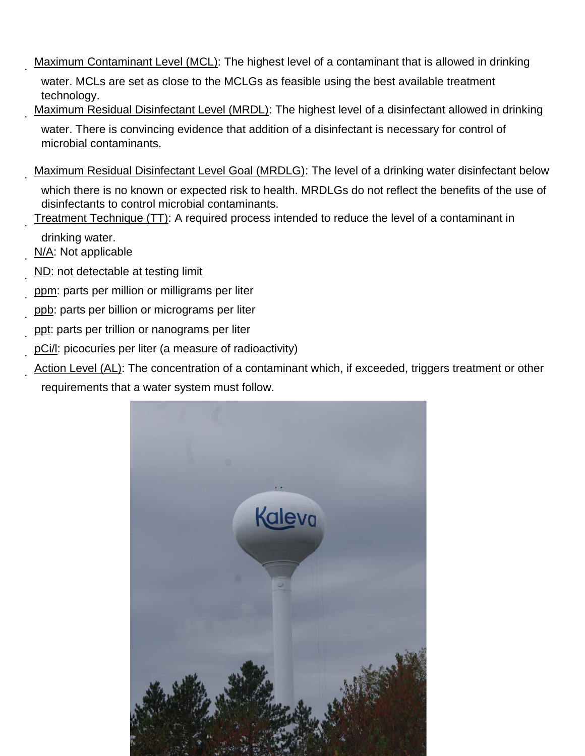Maximum Contaminant Level (MCL): The highest level of a contaminant that is allowed in drinking

water. MCLs are set as close to the MCLGs as feasible using the best available treatment technology.

- Maximum Residual Disinfectant Level (MRDL): The highest level of a disinfectant allowed in drinking water. There is convincing evidence that addition of a disinfectant is necessary for control of microbial contaminants.
- Maximum Residual Disinfectant Level Goal (MRDLG): The level of a drinking water disinfectant below which there is no known or expected risk to health. MRDLGs do not reflect the benefits of the use of disinfectants to control microbial contaminants.
- · Treatment Technique (TT): A required process intended to reduce the level of a contaminant in
	- drinking water. N/A: Not applicable

·

·

·

- · ND: not detectable at testing limit
- · · ppm: parts per million or milligrams per liter
- ppb: parts per billion or micrograms per liter
- · · ppt: parts per trillion or nanograms per liter
- · pCi/l: picocuries per liter (a measure of radioactivity)
- · Action Level (AL): The concentration of a contaminant which, if exceeded, triggers treatment or other requirements that a water system must follow.

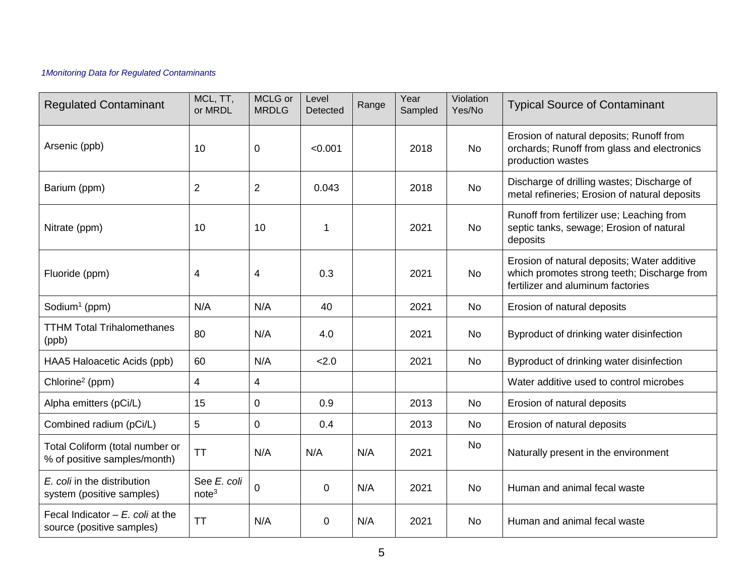#### *1Monitoring Data for Regulated Contaminants*

| <b>Regulated Contaminant</b>                                     | MCL, TT,<br>or MRDL              | MCLG or<br><b>MRDLG</b> | Level<br>Detected | Range | Year<br>Sampled | Violation<br>Yes/No | <b>Typical Source of Contaminant</b>                                                                                            |
|------------------------------------------------------------------|----------------------------------|-------------------------|-------------------|-------|-----------------|---------------------|---------------------------------------------------------------------------------------------------------------------------------|
| Arsenic (ppb)                                                    | 10                               | 0                       | < 0.001           |       | 2018            | No                  | Erosion of natural deposits; Runoff from<br>orchards; Runoff from glass and electronics<br>production wastes                    |
| Barium (ppm)                                                     | $\overline{c}$                   | $\overline{2}$          | 0.043             |       | 2018            | <b>No</b>           | Discharge of drilling wastes; Discharge of<br>metal refineries; Erosion of natural deposits                                     |
| Nitrate (ppm)                                                    | 10                               | 10                      | 1                 |       | 2021            | <b>No</b>           | Runoff from fertilizer use; Leaching from<br>septic tanks, sewage; Erosion of natural<br>deposits                               |
| Fluoride (ppm)                                                   | 4                                | 4                       | 0.3               |       | 2021            | No                  | Erosion of natural deposits; Water additive<br>which promotes strong teeth; Discharge from<br>fertilizer and aluminum factories |
| Sodium <sup>1</sup> (ppm)                                        | N/A                              | N/A                     | 40                |       | 2021            | <b>No</b>           | Erosion of natural deposits                                                                                                     |
| <b>TTHM Total Trihalomethanes</b><br>(ppb)                       | 80                               | N/A                     | 4.0               |       | 2021            | No                  | Byproduct of drinking water disinfection                                                                                        |
| HAA5 Haloacetic Acids (ppb)                                      | 60                               | N/A                     | 2.0               |       | 2021            | <b>No</b>           | Byproduct of drinking water disinfection                                                                                        |
| Chlorine <sup>2</sup> (ppm)                                      | 4                                | 4                       |                   |       |                 |                     | Water additive used to control microbes                                                                                         |
| Alpha emitters (pCi/L)                                           | 15                               | 0                       | 0.9               |       | 2013            | <b>No</b>           | Erosion of natural deposits                                                                                                     |
| Combined radium (pCi/L)                                          | 5                                | 0                       | 0.4               |       | 2013            | <b>No</b>           | Erosion of natural deposits                                                                                                     |
| Total Coliform (total number or<br>% of positive samples/month)  | <b>TT</b>                        | N/A                     | N/A               | N/A   | 2021            | <b>No</b>           | Naturally present in the environment                                                                                            |
| E. coli in the distribution<br>system (positive samples)         | See E. coli<br>note <sup>3</sup> | 0                       | $\mathbf 0$       | N/A   | 2021            | No                  | Human and animal fecal waste                                                                                                    |
| Fecal Indicator $- E$ . coli at the<br>source (positive samples) | <b>TT</b>                        | N/A                     | $\overline{0}$    | N/A   | 2021            | <b>No</b>           | Human and animal fecal waste                                                                                                    |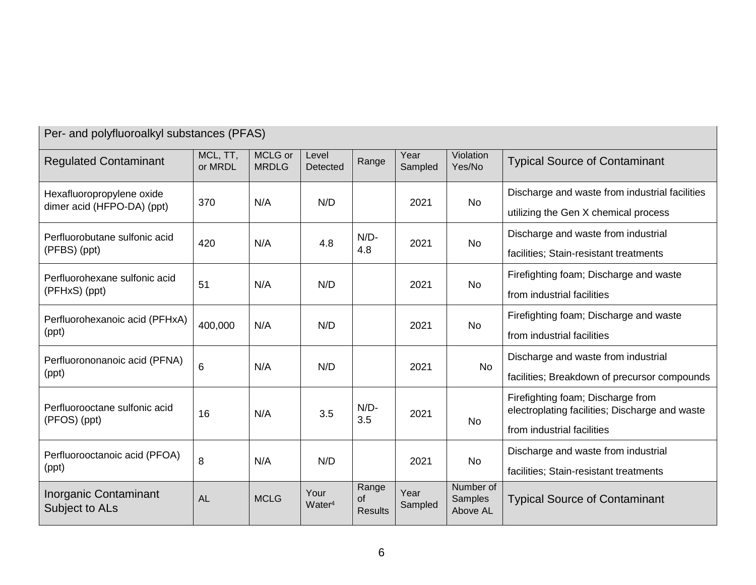| $\sim$ changed polynoor cally not out of the control $\sim$ |                     |                         |                            |                               |                 |                                  |                                                                                                                   |  |
|-------------------------------------------------------------|---------------------|-------------------------|----------------------------|-------------------------------|-----------------|----------------------------------|-------------------------------------------------------------------------------------------------------------------|--|
| <b>Regulated Contaminant</b>                                | MCL, TT,<br>or MRDL | MCLG or<br><b>MRDLG</b> | Level<br>Detected          | Range                         | Year<br>Sampled | Violation<br>Yes/No              | <b>Typical Source of Contaminant</b>                                                                              |  |
| Hexafluoropropylene oxide<br>dimer acid (HFPO-DA) (ppt)     | 370                 | N/A                     | N/D                        |                               | 2021            | No                               | Discharge and waste from industrial facilities<br>utilizing the Gen X chemical process                            |  |
| Perfluorobutane sulfonic acid<br>(PFBS) (ppt)               | 420                 | N/A                     | 4.8                        | $N/D-$<br>4.8                 | 2021            | <b>No</b>                        | Discharge and waste from industrial<br>facilities; Stain-resistant treatments                                     |  |
| Perfluorohexane sulfonic acid<br>(PFHxS) (ppt)              | 51                  | N/A                     | N/D                        |                               | 2021            | <b>No</b>                        | Firefighting foam; Discharge and waste<br>from industrial facilities                                              |  |
| Perfluorohexanoic acid (PFHxA)<br>(ppt)                     | 400,000             | N/A                     | N/D                        |                               | 2021            | No                               | Firefighting foam; Discharge and waste<br>from industrial facilities                                              |  |
| Perfluorononanoic acid (PFNA)<br>(ppt)                      | 6                   | N/A                     | N/D                        |                               | 2021            | <b>No</b>                        | Discharge and waste from industrial<br>facilities; Breakdown of precursor compounds                               |  |
| Perfluorooctane sulfonic acid<br>(PFOS) (ppt)               | 16                  | N/A                     | 3.5                        | $N/D-$<br>3.5                 | 2021            | No                               | Firefighting foam; Discharge from<br>electroplating facilities; Discharge and waste<br>from industrial facilities |  |
| Perfluorooctanoic acid (PFOA)<br>(ppt)                      | 8                   | N/A                     | N/D                        |                               | 2021            | No                               | Discharge and waste from industrial<br>facilities; Stain-resistant treatments                                     |  |
| Inorganic Contaminant<br>Subject to ALs                     | <b>AL</b>           | <b>MCLG</b>             | Your<br>Water <sup>4</sup> | Range<br>of<br><b>Results</b> | Year<br>Sampled | Number of<br>Samples<br>Above AL | <b>Typical Source of Contaminant</b>                                                                              |  |

Per- and polyfluoroalkyl substances (PFAS)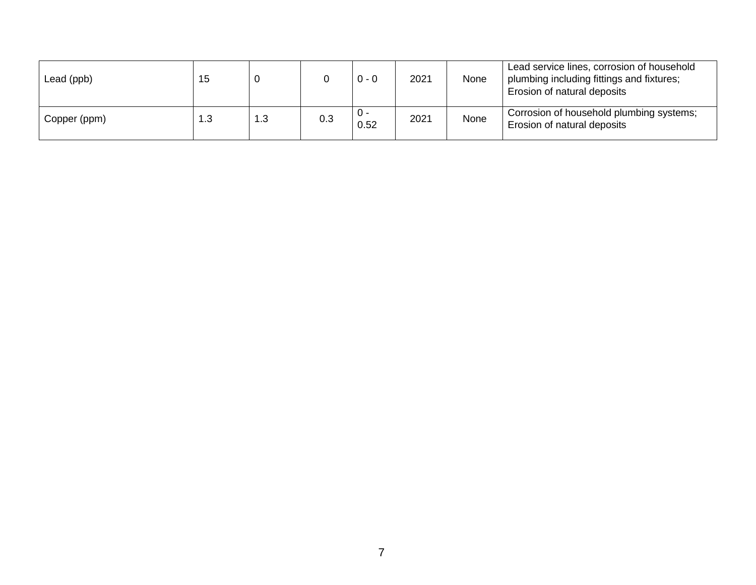| Lead (ppb)   | 15  |     |     | $0 - 0$     | 2021 | None | Lead service lines, corrosion of household<br>plumbing including fittings and fixtures;<br>Erosion of natural deposits |
|--------------|-----|-----|-----|-------------|------|------|------------------------------------------------------------------------------------------------------------------------|
| Copper (ppm) | 1.3 | 1.3 | 0.3 | U -<br>0.52 | 2021 | None | Corrosion of household plumbing systems;<br>Erosion of natural deposits                                                |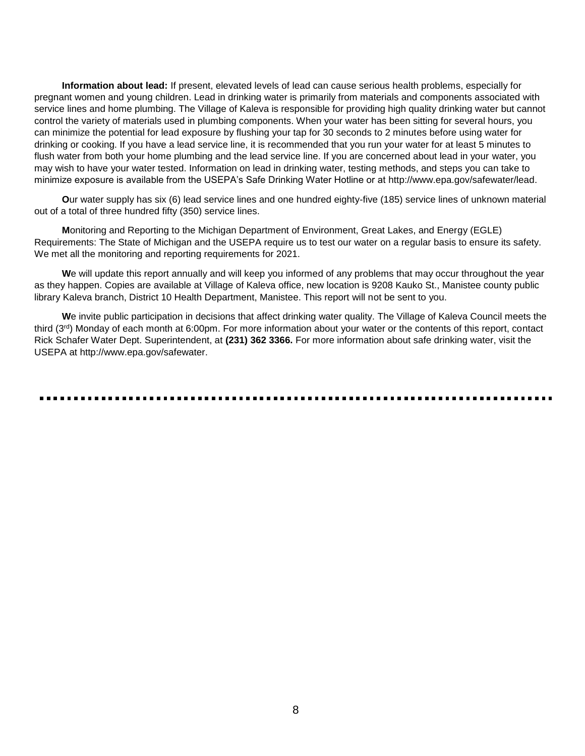**Information about lead:** If present, elevated levels of lead can cause serious health problems, especially for pregnant women and young children. Lead in drinking water is primarily from materials and components associated with service lines and home plumbing. The Village of Kaleva is responsible for providing high quality drinking water but cannot control the variety of materials used in plumbing components. When your water has been sitting for several hours, you can minimize the potential for lead exposure by flushing your tap for 30 seconds to 2 minutes before using water for drinking or cooking. If you have a lead service line, it is recommended that you run your water for at least 5 minutes to flush water from both your home plumbing and the lead service line. If you are concerned about lead in your water, you may wish to have your water tested. Information on lead in drinking water, testing methods, and steps you can take to minimize exposure is available from the USEPA's Safe Drinking Water Hotline or at http://www.epa.gov/safewater/lead.

**O**ur water supply has six (6) lead service lines and one hundred eighty-five (185) service lines of unknown material out of a total of three hundred fifty (350) service lines.

**M**onitoring and Reporting to the Michigan Department of Environment, Great Lakes, and Energy (EGLE) Requirements: The State of Michigan and the USEPA require us to test our water on a regular basis to ensure its safety. We met all the monitoring and reporting requirements for 2021.

**W**e will update this report annually and will keep you informed of any problems that may occur throughout the year as they happen. Copies are available at Village of Kaleva office, new location is 9208 Kauko St., Manistee county public library Kaleva branch, District 10 Health Department, Manistee. This report will not be sent to you.

**W**e invite public participation in decisions that affect drinking water quality. The Village of Kaleva Council meets the third (3rd) Monday of each month at 6:00pm. For more information about your water or the contents of this report, contact Rick Schafer Water Dept. Superintendent, at **(231) 362 3366.** For more information about safe drinking water, visit the USEPA at http://www.epa.gov/safewater.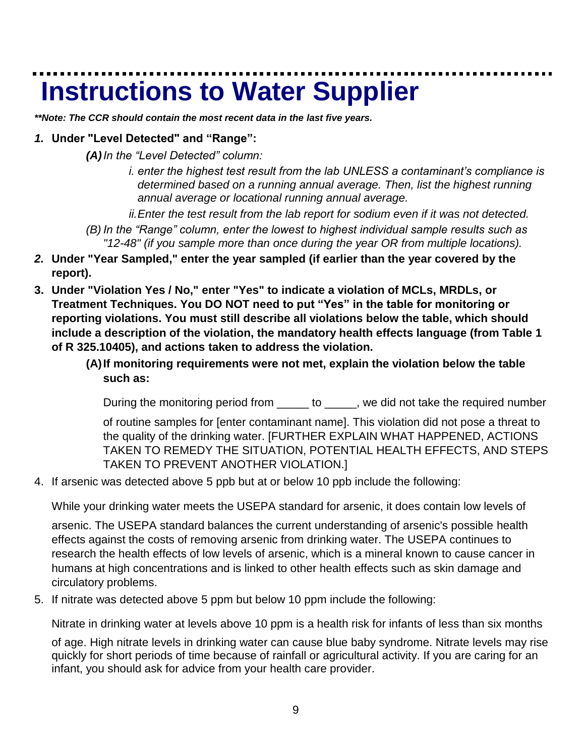# **Instructions to Water Supplier**

*\*\*Note: The CCR should contain the most recent data in the last five years.*

### *1.* **Under "Level Detected" and "Range":**

- *(A)In the "Level Detected" column:*
	- *i. enter the highest test result from the lab UNLESS a contaminant's compliance is determined based on a running annual average. Then, list the highest running annual average or locational running annual average.*

*ii.Enter the test result from the lab report for sodium even if it was not detected.*

- *(B) In the "Range" column, enter the lowest to highest individual sample results such as "12-48" (if you sample more than once during the year OR from multiple locations).*
- *2.* **Under "Year Sampled," enter the year sampled (if earlier than the year covered by the report).**
- **3. Under "Violation Yes / No," enter "Yes" to indicate a violation of MCLs, MRDLs, or Treatment Techniques. You DO NOT need to put "Yes" in the table for monitoring or reporting violations. You must still describe all violations below the table, which should include a description of the violation, the mandatory health effects language (from Table 1 of R 325.10405), and actions taken to address the violation.**

### **(A)If monitoring requirements were not met, explain the violation below the table such as:**

During the monitoring period from \_\_\_\_\_ to \_\_\_\_, we did not take the required number

of routine samples for [enter contaminant name]. This violation did not pose a threat to the quality of the drinking water. [FURTHER EXPLAIN WHAT HAPPENED, ACTIONS TAKEN TO REMEDY THE SITUATION, POTENTIAL HEALTH EFFECTS, AND STEPS TAKEN TO PREVENT ANOTHER VIOLATION.]

4. If arsenic was detected above 5 ppb but at or below 10 ppb include the following:

While your drinking water meets the USEPA standard for arsenic, it does contain low levels of

arsenic. The USEPA standard balances the current understanding of arsenic's possible health effects against the costs of removing arsenic from drinking water. The USEPA continues to research the health effects of low levels of arsenic, which is a mineral known to cause cancer in humans at high concentrations and is linked to other health effects such as skin damage and circulatory problems.

5. If nitrate was detected above 5 ppm but below 10 ppm include the following:

Nitrate in drinking water at levels above 10 ppm is a health risk for infants of less than six months

of age. High nitrate levels in drinking water can cause blue baby syndrome. Nitrate levels may rise quickly for short periods of time because of rainfall or agricultural activity. If you are caring for an infant, you should ask for advice from your health care provider.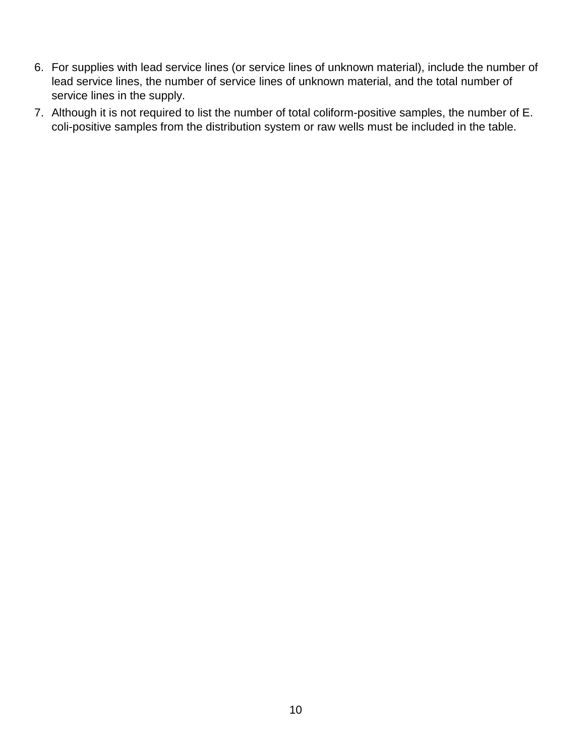- 6. For supplies with lead service lines (or service lines of unknown material), include the number of lead service lines, the number of service lines of unknown material, and the total number of service lines in the supply.
- 7. Although it is not required to list the number of total coliform-positive samples, the number of E. coli-positive samples from the distribution system or raw wells must be included in the table.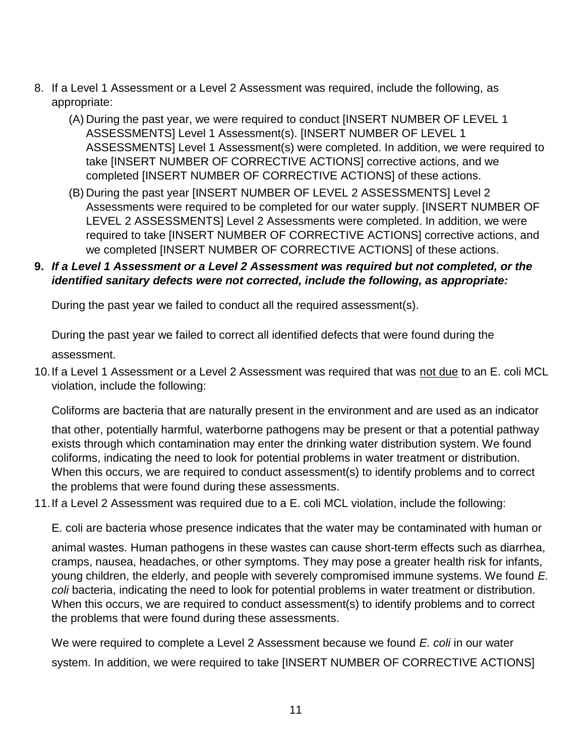- 8. If a Level 1 Assessment or a Level 2 Assessment was required, include the following, as appropriate:
	- (A) During the past year, we were required to conduct [INSERT NUMBER OF LEVEL 1 ASSESSMENTS] Level 1 Assessment(s). [INSERT NUMBER OF LEVEL 1 ASSESSMENTS] Level 1 Assessment(s) were completed. In addition, we were required to take [INSERT NUMBER OF CORRECTIVE ACTIONS] corrective actions, and we completed [INSERT NUMBER OF CORRECTIVE ACTIONS] of these actions.
	- (B) During the past year [INSERT NUMBER OF LEVEL 2 ASSESSMENTS] Level 2 Assessments were required to be completed for our water supply. [INSERT NUMBER OF LEVEL 2 ASSESSMENTS] Level 2 Assessments were completed. In addition, we were required to take [INSERT NUMBER OF CORRECTIVE ACTIONS] corrective actions, and we completed [INSERT NUMBER OF CORRECTIVE ACTIONS] of these actions.

### **9.** *If a Level 1 Assessment or a Level 2 Assessment was required but not completed, or the identified sanitary defects were not corrected, include the following, as appropriate:*

During the past year we failed to conduct all the required assessment(s).

During the past year we failed to correct all identified defects that were found during the assessment.

10. If a Level 1 Assessment or a Level 2 Assessment was required that was not due to an E. coli MCL violation, include the following:

Coliforms are bacteria that are naturally present in the environment and are used as an indicator

that other, potentially harmful, waterborne pathogens may be present or that a potential pathway exists through which contamination may enter the drinking water distribution system. We found coliforms, indicating the need to look for potential problems in water treatment or distribution. When this occurs, we are required to conduct assessment(s) to identify problems and to correct the problems that were found during these assessments.

11.If a Level 2 Assessment was required due to a E. coli MCL violation, include the following:

E. coli are bacteria whose presence indicates that the water may be contaminated with human or

animal wastes. Human pathogens in these wastes can cause short-term effects such as diarrhea, cramps, nausea, headaches, or other symptoms. They may pose a greater health risk for infants, young children, the elderly, and people with severely compromised immune systems. We found *E. coli* bacteria, indicating the need to look for potential problems in water treatment or distribution. When this occurs, we are required to conduct assessment(s) to identify problems and to correct the problems that were found during these assessments.

We were required to complete a Level 2 Assessment because we found *E. coli* in our water system. In addition, we were required to take [INSERT NUMBER OF CORRECTIVE ACTIONS]